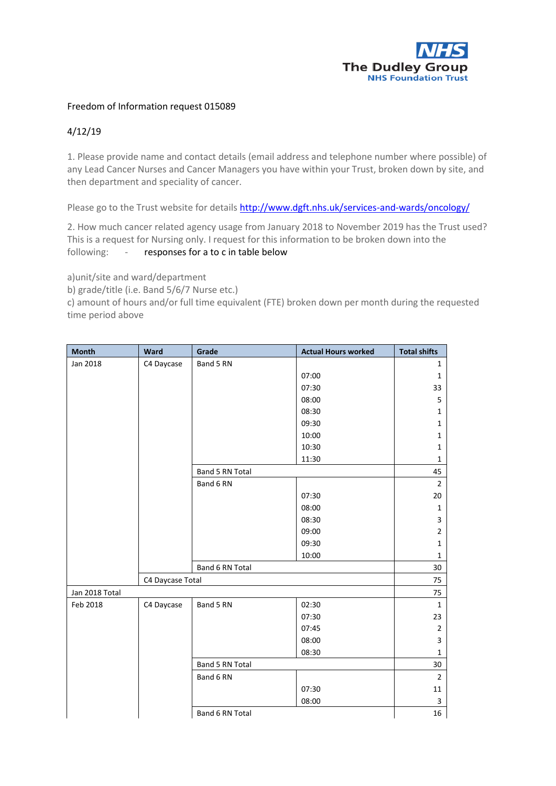

## Freedom of Information request 015089

## 4/12/19

1. Please provide name and contact details (email address and telephone number where possible) of any Lead Cancer Nurses and Cancer Managers you have within your Trust, broken down by site, and then department and speciality of cancer.

Please go to the Trust website for detail[s http://www.dgft.nhs.uk/services-and-wards/oncology/](http://www.dgft.nhs.uk/services-and-wards/oncology/)

2. How much cancer related agency usage from January 2018 to November 2019 has the Trust used? This is a request for Nursing only. I request for this information to be broken down into the following: - responses for a to c in table below

a)unit/site and ward/department

b) grade/title (i.e. Band 5/6/7 Nurse etc.)

c) amount of hours and/or full time equivalent (FTE) broken down per month during the requested time period above

| <b>Month</b>   | Ward             | Grade           | <b>Actual Hours worked</b> | <b>Total shifts</b> |
|----------------|------------------|-----------------|----------------------------|---------------------|
| Jan 2018       | C4 Daycase       | Band 5 RN       |                            | $\mathbf{1}$        |
|                |                  |                 | 07:00                      | $\mathbf{1}$        |
|                |                  |                 | 07:30                      | 33                  |
|                |                  |                 | 08:00                      | 5                   |
|                |                  |                 | 08:30                      | $\mathbf 1$         |
|                |                  |                 | 09:30                      | $\mathbf{1}$        |
|                |                  |                 | 10:00                      | $\mathbf{1}$        |
|                |                  |                 | 10:30                      | $\mathbf{1}$        |
|                |                  |                 | 11:30                      | $\mathbf{1}$        |
|                |                  | Band 5 RN Total |                            | 45                  |
|                |                  | Band 6 RN       |                            | $\overline{2}$      |
|                |                  |                 | 07:30                      | 20                  |
|                |                  |                 | 08:00                      | $\mathbf{1}$        |
|                |                  |                 | 08:30                      | 3                   |
|                |                  |                 | 09:00                      | $\overline{2}$      |
|                |                  |                 | 09:30                      | $\mathbf{1}$        |
|                |                  |                 | 10:00                      | $\mathbf{1}$        |
|                |                  | Band 6 RN Total |                            | 30                  |
|                | C4 Daycase Total |                 |                            | 75                  |
| Jan 2018 Total |                  |                 |                            | 75                  |
| Feb 2018       | C4 Daycase       | Band 5 RN       | 02:30                      | $\mathbf{1}$        |
|                |                  |                 | 07:30                      | 23                  |
|                |                  |                 | 07:45                      | $\overline{2}$      |
|                |                  |                 | 08:00                      | 3                   |
|                |                  |                 | 08:30                      | $\mathbf{1}$        |
|                |                  | Band 5 RN Total |                            | 30                  |
|                |                  | Band 6 RN       |                            | $\overline{2}$      |
|                |                  |                 | 07:30                      | 11                  |
|                |                  |                 | 08:00                      | 3                   |
|                |                  | Band 6 RN Total |                            | 16                  |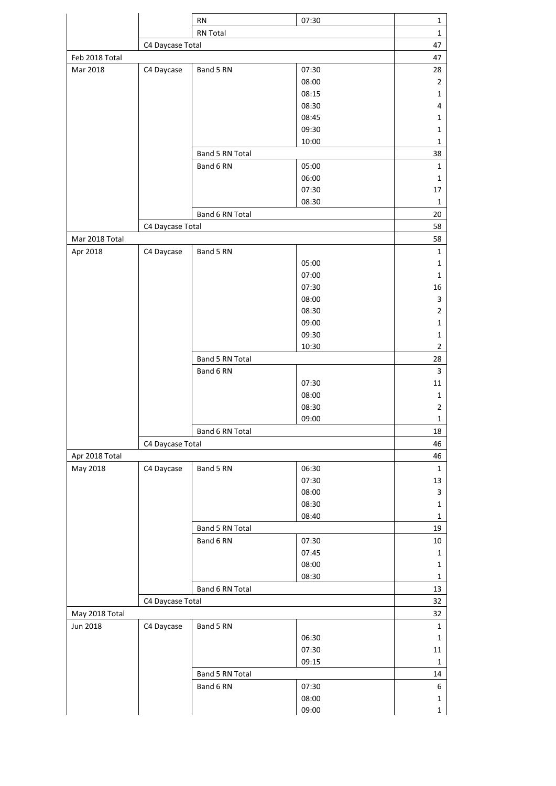|                |                  | <b>RN</b>       | 07:30          | $\mathbf{1}$   |
|----------------|------------------|-----------------|----------------|----------------|
|                |                  | RN Total        |                | $\mathbf{1}$   |
|                | C4 Daycase Total |                 |                | 47             |
| Feb 2018 Total |                  |                 |                | 47             |
| Mar 2018       | C4 Daycase       | Band 5 RN       | 07:30          | 28             |
|                |                  |                 | 08:00          | $\overline{2}$ |
|                |                  |                 | 08:15          | $\mathbf{1}$   |
|                |                  |                 | 08:30          | 4              |
|                |                  |                 | 08:45          | 1              |
|                |                  |                 | 09:30          | 1              |
|                |                  |                 | 10:00          | $\mathbf{1}$   |
|                |                  | Band 5 RN Total |                | 38             |
|                |                  | Band 6 RN       | 05:00          | $\mathbf{1}$   |
|                |                  |                 | 06:00          | 1              |
|                |                  |                 | 07:30          | 17             |
|                |                  |                 | 08:30          | $\mathbf{1}$   |
|                |                  | Band 6 RN Total |                | 20             |
|                | C4 Daycase Total |                 |                | 58             |
| Mar 2018 Total |                  |                 |                | 58             |
| Apr 2018       | C4 Daycase       | Band 5 RN       |                | $\mathbf{1}$   |
|                |                  |                 | 05:00          | 1              |
|                |                  |                 | 07:00          | 1              |
|                |                  |                 | 07:30          | 16             |
|                |                  |                 | 08:00          | 3              |
|                |                  |                 | 08:30          | $\overline{2}$ |
|                |                  |                 | 09:00          | $\mathbf{1}$   |
|                |                  |                 | 09:30          | $\mathbf 1$    |
|                |                  |                 | 10:30          | $\overline{2}$ |
|                |                  | Band 5 RN Total |                | 28             |
|                |                  | Band 6 RN       |                | 3              |
|                |                  |                 | 07:30          | 11             |
|                |                  |                 | 08:00          | $\mathbf{1}$   |
|                |                  |                 | 08:30          | $\overline{2}$ |
|                |                  |                 | 09:00          | $\mathbf{1}$   |
|                |                  | Band 6 RN Total | 18             |                |
|                | C4 Daycase Total |                 |                | 46             |
| Apr 2018 Total |                  |                 |                | 46             |
| May 2018       | C4 Daycase       | Band 5 RN       | 06:30<br>07:30 | $\mathbf 1$    |
|                |                  |                 | 08:00          | 13<br>3        |
|                |                  |                 | 08:30          | 1              |
|                |                  |                 | 08:40          | $\mathbf{1}$   |
|                |                  | Band 5 RN Total |                | 19             |
|                |                  | Band 6 RN       | 07:30          | $10\,$         |
|                |                  |                 | 07:45          | $\mathbf{1}$   |
|                |                  |                 | 08:00          | $\mathbf{1}$   |
|                |                  |                 | 08:30          | $\mathbf{1}$   |
|                |                  | Band 6 RN Total |                | 13             |
|                | C4 Daycase Total |                 | 32             |                |
| May 2018 Total |                  |                 |                | 32             |
| Jun 2018       | C4 Daycase       | Band 5 RN       |                | 1              |
|                |                  |                 | 06:30          | 1              |
|                |                  |                 | 07:30          | 11             |
|                |                  |                 | 09:15          | $\mathbf{1}$   |
|                |                  | Band 5 RN Total |                | 14             |
|                |                  | Band 6 RN       | 07:30          | 6              |
|                |                  |                 | 08:00          | $\mathbf{1}$   |
|                |                  |                 | 09:00          | 1              |
|                |                  |                 |                |                |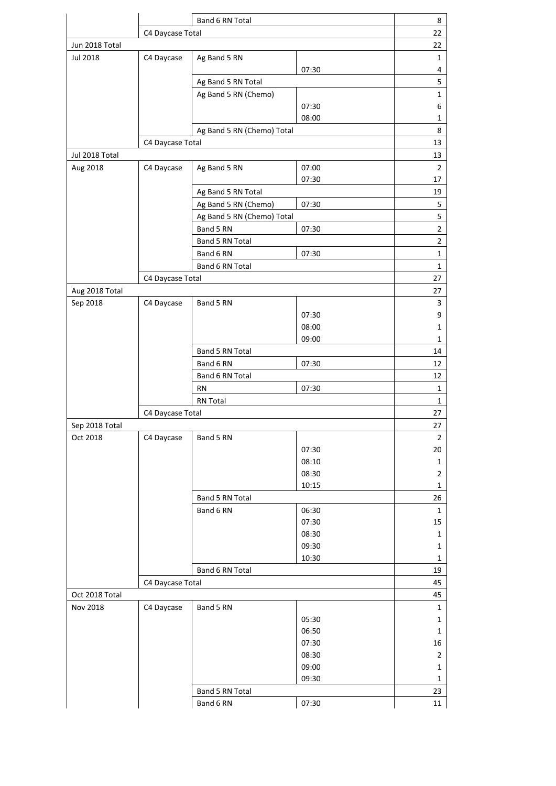|                  | Band 6 RN Total  |                            |       | 8                           |
|------------------|------------------|----------------------------|-------|-----------------------------|
|                  | C4 Daycase Total |                            |       | 22                          |
| Jun 2018 Total   |                  |                            |       | 22                          |
| Jul 2018         | C4 Daycase       | Ag Band 5 RN               |       | $\mathbf 1$                 |
|                  |                  | Ag Band 5 RN Total         | 07:30 | 4<br>5                      |
|                  |                  | Ag Band 5 RN (Chemo)       |       | $\mathbf{1}$                |
|                  |                  |                            | 07:30 | 6                           |
|                  |                  |                            | 08:00 | $\mathbf{1}$                |
|                  |                  | Ag Band 5 RN (Chemo) Total |       | 8                           |
|                  | C4 Daycase Total |                            |       | 13                          |
| Jul 2018 Total   |                  |                            |       | 13                          |
| Aug 2018         | C4 Daycase       | Ag Band 5 RN               | 07:00 | $\overline{2}$              |
|                  |                  |                            | 07:30 | 17                          |
|                  |                  | Ag Band 5 RN Total         |       | 19                          |
|                  |                  | Ag Band 5 RN (Chemo)       | 07:30 | 5                           |
|                  |                  | Ag Band 5 RN (Chemo) Total |       | 5                           |
|                  |                  | Band 5 RN                  | 07:30 | $\overline{2}$              |
|                  |                  | Band 5 RN Total            |       | $\overline{2}$              |
|                  |                  | Band 6 RN                  | 07:30 | $\mathbf 1$                 |
|                  |                  | Band 6 RN Total            |       | $\mathbf 1$                 |
|                  | C4 Daycase Total |                            |       | 27                          |
| Aug 2018 Total   |                  |                            |       | 27                          |
| Sep 2018         | C4 Daycase       | Band 5 RN                  |       | 3                           |
|                  |                  |                            | 07:30 | 9                           |
|                  |                  |                            | 08:00 | $\mathbf 1$                 |
|                  |                  |                            | 09:00 | $\mathbf 1$                 |
|                  |                  | Band 5 RN Total            |       | 14                          |
|                  |                  | Band 6 RN                  | 07:30 | 12                          |
|                  |                  | Band 6 RN Total<br>RN      | 07:30 | 12<br>$\mathbf 1$           |
|                  |                  | <b>RN Total</b>            |       | $\mathbf{1}$                |
|                  | C4 Daycase Total |                            |       | 27                          |
| Sep 2018 Total   |                  |                            |       | 27                          |
| Oct 2018         | C4 Daycase       | Band 5 RN                  |       | $\overline{2}$              |
|                  |                  |                            | 07:30 | 20                          |
|                  |                  |                            | 08:10 | $\mathbf 1$                 |
|                  |                  |                            | 08:30 | 2                           |
|                  |                  |                            | 10:15 | $\mathbf 1$                 |
|                  |                  | Band 5 RN Total            |       | 26                          |
|                  |                  | Band 6 RN                  | 06:30 | 1                           |
|                  |                  |                            | 07:30 | 15                          |
|                  |                  |                            | 08:30 | $\mathbf{1}$                |
|                  |                  |                            | 09:30 | $\mathbf 1$                 |
|                  |                  |                            | 10:30 | $\mathbf 1$                 |
|                  |                  | Band 6 RN Total            |       | 19                          |
| C4 Daycase Total |                  |                            |       | 45                          |
| Oct 2018 Total   |                  |                            |       | 45                          |
| Nov 2018         | C4 Daycase       | Band 5 RN                  | 05:30 | $\mathbf{1}$<br>$\mathbf 1$ |
|                  |                  |                            | 06:50 | 1                           |
|                  |                  |                            | 07:30 | 16                          |
|                  |                  |                            | 08:30 | $\overline{2}$              |
|                  |                  |                            | 09:00 | $\mathbf{1}$                |
|                  |                  |                            | 09:30 | $\mathbf{1}$                |
|                  |                  | Band 5 RN Total            |       | 23                          |
|                  |                  | Band 6 RN                  | 07:30 | 11                          |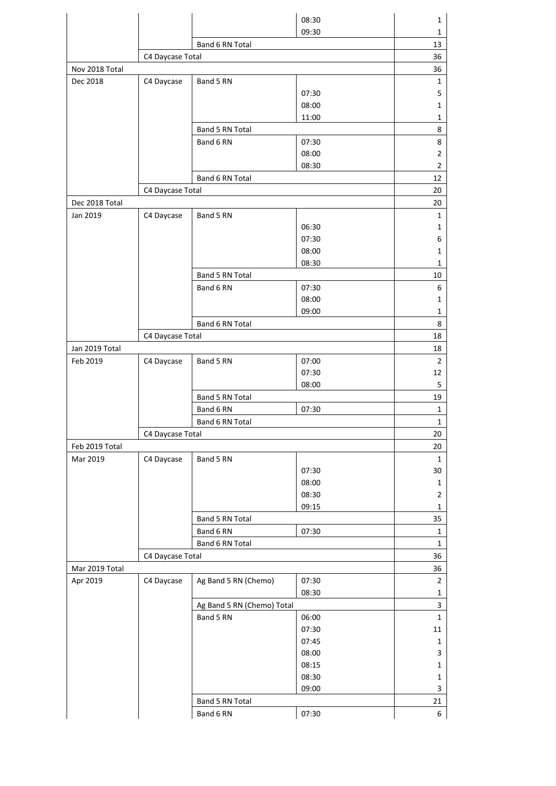|                |                  |                            | 08:30          | 1                             |
|----------------|------------------|----------------------------|----------------|-------------------------------|
|                |                  |                            | 09:30          | 1                             |
|                |                  | Band 6 RN Total            |                | 13                            |
|                | C4 Daycase Total |                            |                | 36                            |
| Nov 2018 Total |                  |                            |                | 36                            |
| Dec 2018       | C4 Daycase       | Band 5 RN                  |                | $\mathbf 1$                   |
|                |                  |                            | 07:30          | 5                             |
|                |                  |                            | 08:00          | $\mathbf{1}$                  |
|                |                  | Band 5 RN Total            | 11:00          | 1<br>8                        |
|                |                  | Band 6 RN                  | 07:30          | 8                             |
|                |                  |                            | 08:00          | 2                             |
|                |                  |                            | 08:30          | $\overline{2}$                |
|                |                  | Band 6 RN Total            |                | 12                            |
|                | C4 Daycase Total |                            |                | 20                            |
| Dec 2018 Total |                  |                            |                | 20                            |
| Jan 2019       | C4 Daycase       | Band 5 RN                  |                | $\mathbf{1}$                  |
|                |                  |                            | 06:30          | 1                             |
|                |                  |                            | 07:30          | 6                             |
|                |                  |                            | 08:00          | 1                             |
|                |                  |                            | 08:30          | 1                             |
|                |                  | Band 5 RN Total            |                | 10                            |
|                |                  | Band 6 RN                  | 07:30          | 6                             |
|                |                  |                            | 08:00          | $\mathbf{1}$                  |
|                |                  |                            | 09:00          | $\mathbf 1$                   |
|                | Band 6 RN Total  |                            |                | 8                             |
|                | C4 Daycase Total |                            |                | 18                            |
| Jan 2019 Total |                  |                            |                | 18                            |
| Feb 2019       | C4 Daycase       | Band 5 RN                  | 07:00          | $\overline{2}$                |
|                |                  |                            | 07:30<br>08:00 | 12<br>5                       |
|                |                  | Band 5 RN Total            |                | 19                            |
|                |                  | 07:30<br>Band 6 RN         |                | 1                             |
|                |                  | Band 6 RN Total            |                | $\mathbf{1}$                  |
|                | C4 Daycase Total |                            | 20             |                               |
| Feb 2019 Total |                  |                            |                | 20                            |
| Mar 2019       | C4 Daycase       | Band 5 RN                  |                | $\mathbf{1}$                  |
|                |                  |                            | 07:30          | 30                            |
|                |                  |                            | 08:00          | $\mathbf 1$                   |
|                |                  |                            | 08:30          | $\overline{2}$                |
|                |                  |                            | 09:15          | 1                             |
|                |                  | Band 5 RN Total            |                | 35                            |
|                |                  | Band 6 RN                  | 07:30          | $\mathbf{1}$                  |
|                | Band 6 RN Total  |                            |                | $\mathbf{1}$                  |
|                | C4 Daycase Total |                            |                | 36                            |
| Mar 2019 Total |                  |                            |                | 36                            |
| Apr 2019       | C4 Daycase       | Ag Band 5 RN (Chemo)       | 07:30<br>08:30 | $\overline{2}$<br>$\mathbf 1$ |
|                |                  | Ag Band 5 RN (Chemo) Total |                | 3                             |
|                |                  | Band 5 RN                  | 06:00          | $\mathbf{1}$                  |
|                |                  |                            | 07:30          | 11                            |
|                |                  |                            | 07:45          | $\mathbf 1$                   |
|                |                  |                            | 08:00          | 3                             |
|                |                  |                            | 08:15          | $\mathbf 1$                   |
|                |                  |                            | 08:30          | $\mathbf 1$                   |
|                |                  |                            | 09:00          | 3                             |
|                |                  | Band 5 RN Total            |                | 21                            |
|                |                  | Band 6 RN                  | 07:30          | 6                             |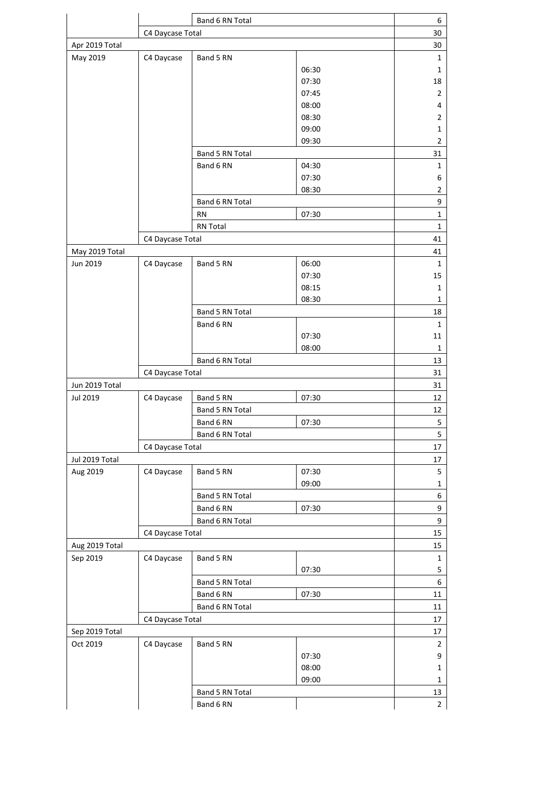|                | Band 6 RN Total  |                 |       | 6              |  |
|----------------|------------------|-----------------|-------|----------------|--|
|                | C4 Daycase Total |                 |       | 30             |  |
| Apr 2019 Total |                  |                 |       | 30             |  |
| May 2019       | C4 Daycase       | Band 5 RN       |       | 1              |  |
|                |                  |                 | 06:30 | $\mathbf{1}$   |  |
|                |                  |                 | 07:30 | 18             |  |
|                |                  |                 | 07:45 | $\overline{2}$ |  |
|                |                  |                 | 08:00 | 4              |  |
|                |                  |                 | 08:30 | $\overline{2}$ |  |
|                |                  |                 | 09:00 | 1              |  |
|                |                  |                 | 09:30 | 2              |  |
|                |                  | Band 5 RN Total |       | 31             |  |
|                |                  | Band 6 RN       | 04:30 | 1              |  |
|                |                  |                 | 07:30 | 6              |  |
|                |                  |                 | 08:30 | $\overline{2}$ |  |
|                |                  | Band 6 RN Total |       | 9              |  |
|                |                  | RN              | 07:30 | $\mathbf{1}$   |  |
|                |                  | <b>RN Total</b> |       | $\mathbf{1}$   |  |
|                | C4 Daycase Total |                 |       | 41             |  |
| May 2019 Total |                  |                 |       | 41             |  |
| Jun 2019       | C4 Daycase       | Band 5 RN       | 06:00 | $\mathbf{1}$   |  |
|                |                  |                 | 07:30 | 15             |  |
|                |                  |                 | 08:15 | 1              |  |
|                |                  |                 | 08:30 | 1              |  |
|                |                  | Band 5 RN Total |       | 18             |  |
|                |                  |                 |       |                |  |
|                |                  | Band 6 RN       | 07:30 | 1<br>11        |  |
|                |                  |                 | 08:00 | $\mathbf{1}$   |  |
|                |                  |                 |       |                |  |
|                |                  | Band 6 RN Total |       | 13             |  |
|                | C4 Daycase Total |                 |       | 31<br>31       |  |
| Jun 2019 Total |                  |                 |       |                |  |
| Jul 2019       | C4 Daycase       | Band 5 RN       | 07:30 | 12             |  |
|                |                  | Band 5 RN Total |       | 12             |  |
|                |                  | Band 6 RN       | 07:30 | 5              |  |
|                |                  | Band 6 RN Total |       | 5              |  |
|                | C4 Daycase Total |                 |       | 17             |  |
| Jul 2019 Total |                  |                 |       | 17             |  |
| Aug 2019       | C4 Daycase       | Band 5 RN       | 07:30 | 5              |  |
|                |                  |                 | 09:00 | 1              |  |
|                |                  | Band 5 RN Total |       | 6              |  |
|                |                  | Band 6 RN       | 07:30 | 9              |  |
|                |                  | Band 6 RN Total |       | 9              |  |
|                | C4 Daycase Total |                 |       | 15             |  |
| Aug 2019 Total |                  |                 |       | 15             |  |
| Sep 2019       | C4 Daycase       | Band 5 RN       |       | $\mathbf 1$    |  |
|                |                  |                 | 07:30 | 5              |  |
|                |                  | Band 5 RN Total |       | 6              |  |
|                |                  | Band 6 RN       | 07:30 | 11             |  |
|                | Band 6 RN Total  |                 |       | 11             |  |
|                | C4 Daycase Total |                 |       |                |  |
| Sep 2019 Total |                  |                 |       |                |  |
| Oct 2019       | C4 Daycase       | Band 5 RN       |       | $\overline{2}$ |  |
|                |                  |                 | 07:30 | 9              |  |
|                |                  |                 | 08:00 | $\mathbf{1}$   |  |
|                |                  |                 | 09:00 | $\mathbf{1}$   |  |
|                |                  | Band 5 RN Total |       | 13             |  |
|                |                  | Band 6 RN       |       | $\overline{2}$ |  |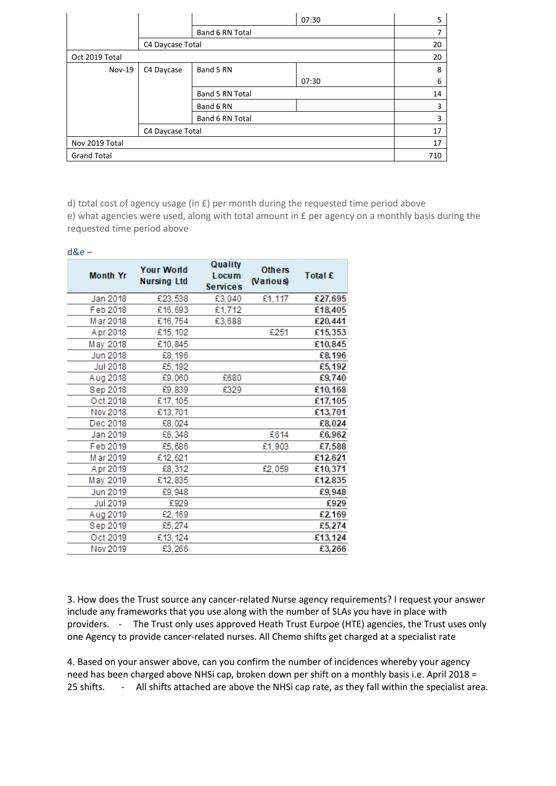|                    |                  |                 | 07:30 | 5  |
|--------------------|------------------|-----------------|-------|----|
|                    |                  | Band 6 RN Total |       | 7  |
|                    | C4 Daycase Total |                 |       | 20 |
| Oct 2019 Total     |                  |                 |       | 20 |
| Nov-19             | C4 Daycase       | Band 5 RN       |       | 8  |
|                    |                  |                 | 07:30 | 6  |
|                    |                  | Band 5 RN Total |       | 14 |
|                    |                  | Band 6 RN       |       | 3  |
|                    |                  | Band 6 RN Total |       | 3  |
|                    | C4 Daycase Total |                 |       | 17 |
| Nov 2019 Total     |                  |                 | 17    |    |
| <b>Grand Total</b> |                  |                 | 710   |    |

d) total cost of agency usage (in £) per month during the requested time period above e) what agencies were used, along with total amount in £ per agency on a monthly basis during the requested time period above

| $d$ &e $-$ |                 |                                         |                                     |                            |         |  |
|------------|-----------------|-----------------------------------------|-------------------------------------|----------------------------|---------|--|
|            | <b>Month Yr</b> | <b>Your World</b><br><b>Nursing Ltd</b> | Quality<br>Locum<br><b>Services</b> | <b>Others</b><br>(Various) | Total £ |  |
|            | Jan 2018        | £23,538                                 | £3,040                              | £1,117                     | £27,695 |  |
|            | Feb 2018        | £16,693                                 | £1,712                              |                            | £18,405 |  |
|            | M ar 2018       | £16,754                                 | £3,688                              |                            | £20,441 |  |
|            | Apr 2018        | £15,102                                 |                                     | £251                       | £15,353 |  |
|            | May 2018        | £10,845                                 |                                     |                            | £10,845 |  |
|            | Jun 2018        | £8, 196                                 |                                     |                            | £8,196  |  |
|            | Jul 2018        | £5, 192                                 |                                     |                            | £5,192  |  |
|            | Aug 2018        | £9,060                                  | £680                                |                            | £9,740  |  |
|            | Sep 2018        | £9,839                                  | £329                                |                            | £10,168 |  |
|            | Oct 2018        | £17,105                                 |                                     |                            | £17,105 |  |
|            | Nov 2018        | £13.701                                 |                                     |                            | £13,701 |  |
|            | Dec 2018        | £8.024                                  |                                     |                            | £8.024  |  |
|            | Jan 2019        | £6,348                                  |                                     | £614                       | £6,962  |  |
|            | Feb 2019        | £5,686                                  |                                     | £1.903                     | £7,588  |  |
|            | M ar 2019       | £12,621                                 |                                     |                            | £12.621 |  |
|            | Apr 2019        | £8,312                                  |                                     | £2,059                     | £10,371 |  |
|            | May 2019        | £12,835                                 |                                     |                            | £12,835 |  |
|            | Jun 2019        | £9.948                                  |                                     |                            | £9,948  |  |
|            | Jul 2019        | £929                                    |                                     |                            | £929    |  |
|            | Aug 2019        | £2,169                                  |                                     |                            | £2,169  |  |
|            | Sep 2019        | £5,274                                  |                                     |                            | £5,274  |  |
|            | Oct 2019        | £13,124                                 |                                     |                            | £13,124 |  |
|            | Nov 2019        | £3,266                                  |                                     |                            | £3,266  |  |
|            |                 |                                         |                                     |                            |         |  |

3. How does the Trust source any cancer-related Nurse agency requirements? I request your answer include any frameworks that you use along with the number of SLAs you have in place with providers. - The Trust only uses approved Heath Trust Eurpoe (HTE) agencies, the Trust uses only one Agency to provide cancer-related nurses. All Chemo shifts get charged at a specialist rate

4. Based on your answer above, can you confirm the number of incidences whereby your agency need has been charged above NHSi cap, broken down per shift on a monthly basis i.e. April 2018 = 25 shifts. - All shifts attached are above the NHSi cap rate, as they fall within the specialist area.